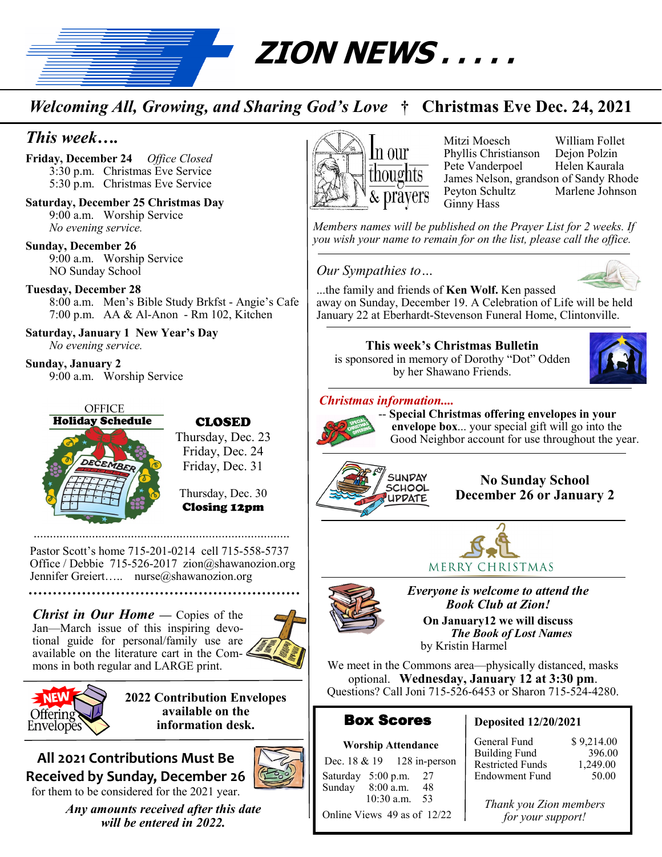

# *Welcoming All, Growing, and Sharing God's Love* **† Christmas Eve Dec. 24, 2021**

# *This week….*

**Friday, December 24** *Office Closed* 3:30 p.m. Christmas Eve Service 5:30 p.m. Christmas Eve Service

**Saturday, December 25 Christmas Day** 9:00 a.m. Worship Service *No evening service.*

**Sunday, December 26**  9:00 a.m. Worship Service NO Sunday School

#### **Tuesday, December 28**

8:00 a.m. Men's Bible Study Brkfst - Angie's Cafe 7:00 p.m. AA & Al-Anon - Rm 102, Kitchen

**Saturday, January 1 New Year's Day** *No evening service.*

**Sunday, January 2** 9:00 a.m. Worship Service



#### CLOSED

Thursday, Dec. 23 Friday, Dec. 24 Friday, Dec. 31

Thursday, Dec. 30 Closing 12pm

Pastor Scott's home 715-201-0214 cell 715-558-5737 Office / Debbie 715-526-2017 zion@shawanozion.org Jennifer Greiert….. nurse@shawanozion.org

#### *Christ in Our Home* — Copies of the Jan—March issue of this inspiring devotional guide for personal/family use are available on the literature cart in the Commons in both regular and LARGE print.





**2022 Contribution Envelopes available on the information desk.**

#### **All 2021 Contributions Must Be Received by Sunday, December 26**  for them to be considered for the 2021 year.



*Any amounts received after this date will be entered in 2022.*



Mitzi Moesch William Follet Phyllis Christianson Dejon Polzin Pete Vanderpoel James Nelson, grandson of Sandy Rhode Peyton Schultz Marlene Johnson Ginny Hass

*Members names will be published on the Prayer List for 2 weeks. If you wish your name to remain for on the list, please call the office.*

*Our Sympathies to…*



...the family and friends of **Ken Wolf.** Ken passed away on Sunday, December 19. A Celebration of Life will be held January 22 at Eberhardt-Stevenson Funeral Home, Clintonville.

**This week's Christmas Bulletin**  is sponsored in memory of Dorothy "Dot" Odden by her Shawano Friends.

#### *Christmas information....*



-- **Special Christmas offering envelopes in your envelope box**... your special gift will go into the Good Neighbor account for use throughout the year.



**No Sunday School December 26 or January 2**





*Everyone is welcome to attend the Book Club at Zion!*

**On January12 we will discuss**   *The Book of Lost Names*  by Kristin Harmel

We meet in the Commons area—physically distanced, masks optional. **Wednesday, January 12 at 3:30 pm**. Questions? Call Joni 715-526-6453 or Sharon 715-524-4280.

#### Box Scores

#### **Deposited 12/20/2021**

#### **Worship Attendance**

Dec. 18 & 19 128 in-person Saturday 5:00 p.m. 27 Sunday 8:00 a.m. 48 10:30 a.m. 53 Online Views 49 as of 12/22

General Fund \$9,214.00 Building Fund 396.00 Restricted Funds 1,249.00 Endowment Fund 50.00

*Thank you Zion members for your support!*